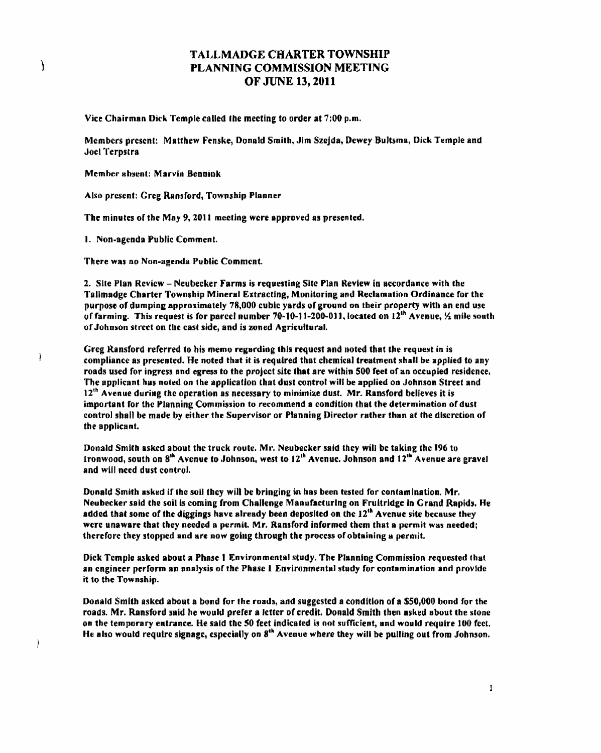## TALLMADGE CHARTER TOWNSHIP PLANNING COMMISSION MEETING OF JUNE 13, 2011

Vice Chairman Dick Temple called the meeting to order at 7;00 p.m.

Members present: Matthew Fenske, Donald Smith, Jim Szeida, Dewey Bultsma, Dick Temple and Joel Terpstra

Member absent: Marvin Bennink

 $\lambda$ 

 $\mathbf{I}$ 

 $\mathcal{C}$ 

Also present: Greg Ransford, Township Planner

The minutes of tbe May 9,2011 meeting were approved as presented,

1. Non-agenda Public Comment.

There was no Non-agenda Public Comment.

2. Sile Plan Review - Neubecker Farms is requesting Site Plan Review in accordance witb the Tallmadge Charter Township Mineral Extracting, Monitoring and Reclamation Ordinance for the purpose of dumping approximately 78,000 cubic yards of ground on their property with an end use of farming. This request is for parcel number 70-10-11-200-011, located on  $12^{th}$  Avenue,  $\frac{1}{2}$  mile south of Johnson street on the east side, and is zoned Agricultural.

Greg Ransford referred to his memo regarding this request and noted that the request in is compliance as presented. He noted that it is required that chemical treatment shall be applied to any roads used for ingress and egress to the project site that are within 500 feet of an occupied residence. The applicant has noted on the application that dust control will be applied on Johnson Street and  $12<sup>th</sup>$  Avenue during the operation as necessary to minimize dust. Mr. Ransford believes it is important for the Planning Commission to recommend a condition that the determination of dust control shall be made by either the Supervisor or Planning Director rather than af the dlscrction of the appJicant.

Donald Smith askcd about the truck route. Mr. Neubecker said they will be taking the 196 to Ironwood, south on  $8<sup>th</sup>$  Avenue to Johnson, west to  $12<sup>th</sup>$  Avenue. Johnson and  $12<sup>th</sup>$  Avenue are gravel and will need dust control.

Donald Smith asked if the soll they will be bringing in has been tested for contamination. Mr. Neubecker said the soil is coming from Challenge Manufacturing on Fruitridge in Grand Rapids. He added that some of the diggings have already been deposited on the  $12<sup>th</sup>$  Avenue site because they were unaware that they needed a permit. Mr. Ransford informed them that a permit was needed; therefore they stopped and are now going through the process of obtaining a permit.

Dick Temple asked about a Phase 1 Environmental study. The Planning Commission requested that an engineer perform an analysis of the Phase 1 Environmental study for contamination and provide it to the Township.

Donald Smith asked about a bond for the roads, and suggested a condition of a \$50,000 bond for the roads. Mr. Ransford said he would prefer a letter of credit. Donald Smith then asked about the stone on the temporary entrance. He said the 50 feet indicated is not sufficient, and would require 100 feet. He also would require signage, especially on 8<sup>th</sup> Avenue where they will be pulling out from Johnson.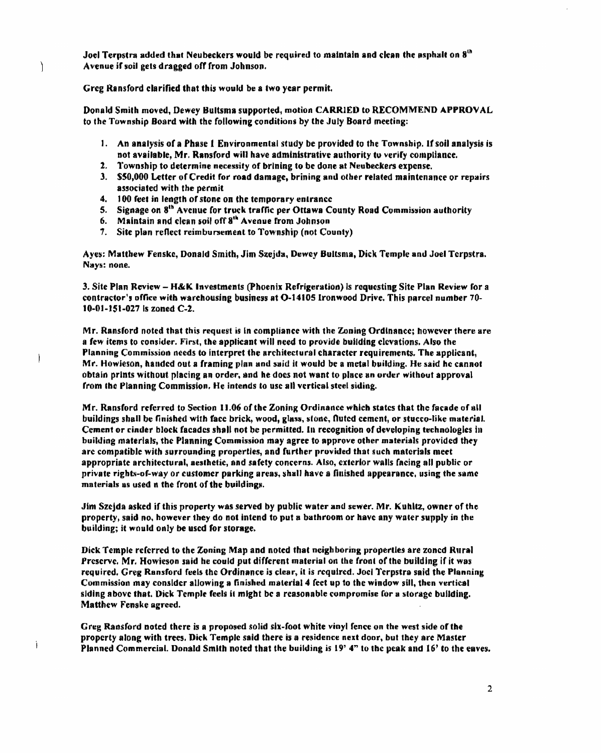Joel Terpstra added that Neubeckers would be required to maintain and clean the asphalt on  $8<sup>th</sup>$ Avenue if soil gets dragged off from Johnson.

Greg Ransford clarified that this would be 8 two year permit.

Ì

 $\overline{\phantom{a}}$ 

Ï

Donald Smith moved, Dewey Bultsma supported, motion CARRIED to RECOMMEND APPROVAL to the Township Board with the following conditions by the July Board meeting:

- 1. An analysis of a Phase 1 Environmental study be provided to the Township. If soil analysis is not available, Mr. Ransford will have administrative authority to verify compliance.
- 2. Township to determine necessity of brlning 10 be done at Neubeekers expense.
- 3. S50,000 Letter of Credit for road damage, brining and other related maintenance or repairs associated with the permit
- 4. 100 feet in length of stone on the temporary entrance
- 5. Signage on 8<sup>th</sup> Avenue for truck traffic per Ottawa County Road Commission authority
- 6. Maintain and clean soil off 8<sup>th</sup> Avenue from Johnson
- 7. Site plan reflect reimbursement to Township (not County)

Ayes: Matthew Fenske, Donald Smith, Jim Szejda, Dewey Bultsma, Dick Temple and Joel Terpstra. Nays: none.

3. Site Plan Review - H&K Investments (phoenix Refrigeration) Is requesting Site Plan Review for a contractor's office with warchousing business at O-14105 Ironwood Drive. This parcel number 70-10-01-J51-027 Is zoned C-l.

Mr. Ransford noted that this request is in compliance with the Zoning Ordinance; however there are a few items to consider. First, the applicant will need to provide building clevations. Also the Planning Commission needs to interpret the architectural character requirements. The applicant, Mr. Howieson, handed out a framing plan and said it would be a metal building. He said he cannot obtain prints without placing an order, and he docs not want to place an order without approval from Ihc Planning Commission. He intends to usc all vertical steel siding.

Mr. Ransford referred to Section 11.06 of the Zoning Ordinance which states that the facade of all buildings shall be finished with face brick, wood, glass, stone, fluted cement, or stucco-like material. Cement or cinder block facades shall not be permitted. In recognition of developing technologies in building materials, the Planning Commission may agree to approve other materials provided they are compatible with surrounding properties, and further provided that such materials meet appropriate architectural, aesthetic, and safety concerns. Also, exterior walls facing all public or private rights-of-way or customer parking areas, shall have a finished appearance, using the same materials as used n the front of the buildings.

Jim Szcjda asked if this property was served by public water and sewer. Mr. Kuhltz, owner of the property, said no, however they do not intend to put 8 bathroom or have any water supply in the building; it would only be used for storage.

Dick Temple referred to the Zoning Map and noted that neighboring properties are zoned Rural Preserve. Mr. Howieson said he could put different material on the front of the building if it was required. Greg Ransford feels the Ordinance is clear, it is required. Jocl Terpstra said the Planning Commission may consider allowing a finished material 4 feet up to the window sill. then vertieal siding above that. Dick Temple feels it might be a reasonable compromise for a storage building. Matthew Fenske agreed.

Greg Ransford noted there is a proposed solid six-foot white vinyl fence on the west side of the property along with trees. Dick Temple said there is a residence next door, but they are Master Planned Commercial. Donald Smith noted that the building is  $19'$  4" to the peak and  $16'$  to the eaves.